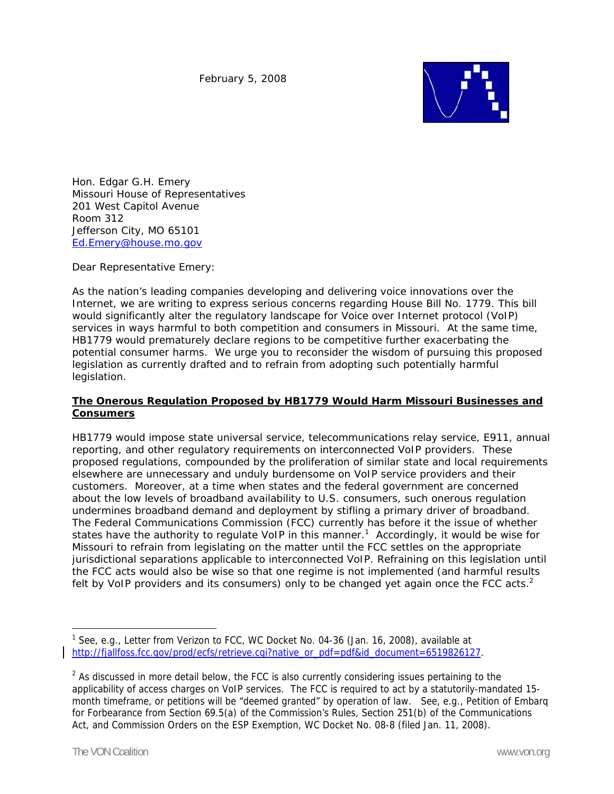

Hon. Edgar G.H. Emery Missouri House of Representatives 201 West Capitol Avenue Room 312 Jefferson City, MO 65101 Ed.Emery@house.mo.gov

Dear Representative Emery:

As the nation's leading companies developing and delivering voice innovations over the Internet, we are writing to express serious concerns regarding House Bill No. 1779. This bill would significantly alter the regulatory landscape for Voice over Internet protocol (VoIP) services in ways harmful to both competition and consumers in Missouri. At the same time, HB1779 would prematurely declare regions to be competitive further exacerbating the potential consumer harms. We urge you to reconsider the wisdom of pursuing this proposed legislation as currently drafted and to refrain from adopting such potentially harmful legislation.

## **The Onerous Regulation Proposed by HB1779 Would Harm Missouri Businesses and Consumers**

HB1779 would impose state universal service, telecommunications relay service, E911, annual reporting, and other regulatory requirements on interconnected VoIP providers. These proposed regulations, compounded by the proliferation of similar state and local requirements elsewhere are unnecessary and unduly burdensome on VoIP service providers and their customers. Moreover, at a time when states and the federal government are concerned about the low levels of broadband availability to U.S. consumers, such onerous regulation undermines broadband demand and deployment by stifling a primary driver of broadband. The Federal Communications Commission (FCC) currently has before it the issue of whether states have the authority to regulate VoIP in this manner.<sup>1</sup> Accordingly, it would be wise for Missouri to refrain from legislating on the matter until the FCC settles on the appropriate jurisdictional separations applicable to interconnected VoIP. Refraining on this legislation until the FCC acts would also be wise so that one regime is not implemented (and harmful results felt by VoIP providers and its consumers) only to be changed yet again once the FCC acts. $2$ 

 $\overline{a}$ 

<sup>&</sup>lt;sup>1</sup> See, e.g., Letter from Verizon to FCC, WC Docket No. 04-36 (Jan. 16, 2008), available at http://fjallfoss.fcc.gov/prod/ecfs/retrieve.cgi?native\_or\_pdf=pdf&id\_document=6519826127.

 $2$  As discussed in more detail below, the FCC is also currently considering issues pertaining to the applicability of access charges on VoIP services. The FCC is required to act by a statutorily-mandated 15 month timeframe, or petitions will be "deemed granted" by operation of law. See, e.g., Petition of Embarq for Forbearance from Section 69.5(a) of the Commission's Rules, Section 251(b) of the Communications Act, and Commission Orders on the ESP Exemption, WC Docket No. 08-8 (filed Jan. 11, 2008).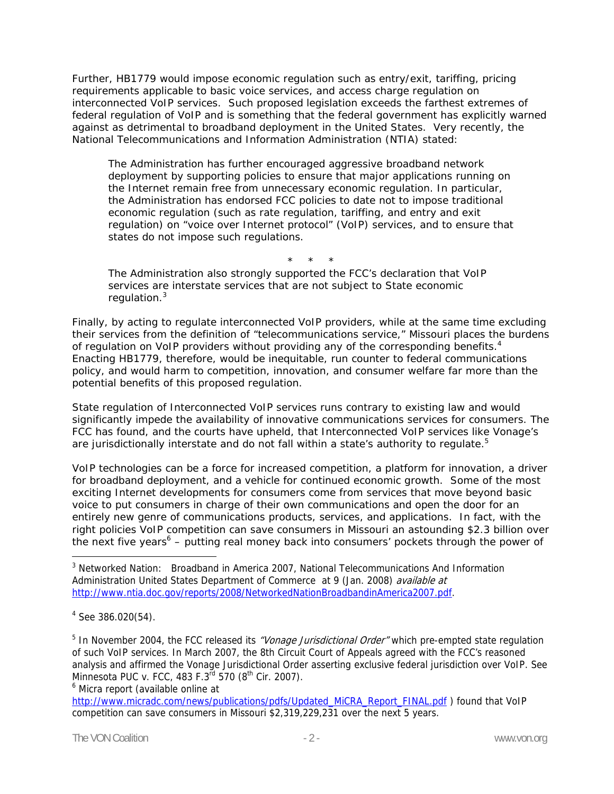Further, HB1779 would impose economic regulation such as entry/exit, tariffing, pricing requirements applicable to basic voice services, and access charge regulation on interconnected VoIP services. Such proposed legislation exceeds the farthest extremes of federal regulation of VoIP and is something that the federal government has explicitly warned against as detrimental to broadband deployment in the United States. Very recently, the National Telecommunications and Information Administration (NTIA) stated:

The Administration has further encouraged aggressive broadband network deployment by supporting policies to ensure that major applications running on the Internet remain free from unnecessary economic regulation. In particular, the Administration has endorsed FCC policies to date not to impose traditional economic regulation (such as rate regulation, tariffing, and entry and exit regulation) on "voice over Internet protocol" (VoIP) services, and to ensure that states do not impose such regulations.

\* \* \* The Administration also strongly supported the FCC's declaration that VoIP services are interstate services that are not subject to State economic regulation.<sup>3</sup>

Finally, by acting to regulate interconnected VoIP providers, while at the same time *excluding* their services from the definition of "telecommunications service," Missouri places the burdens of regulation on VoIP providers without providing any of the corresponding benefits. $4$ Enacting HB1779, therefore, would be inequitable, run counter to federal communications policy, and would harm to competition, innovation, and consumer welfare far more than the potential benefits of this proposed regulation.

State regulation of Interconnected VoIP services runs contrary to existing law and would significantly impede the availability of innovative communications services for consumers. The FCC has found, and the courts have upheld, that Interconnected VoIP services like Vonage's are jurisdictionally interstate and do not fall within a state's authority to regulate.<sup>5</sup>

VoIP technologies can be a force for increased competition, a platform for innovation, a driver for broadband deployment, and a vehicle for continued economic growth. Some of the most exciting Internet developments for consumers come from services that move beyond basic voice to put consumers in charge of their own communications and open the door for an entirely new genre of communications products, services, and applications. In fact, with the right policies VoIP competition can save consumers in Missouri an astounding \$2.3 billion over the next five years<sup>6</sup> – putting real money back into consumers' pockets through the power of

 $\overline{a}$ 

<sup>5</sup> In November 2004, the FCC released its *"Vonage Jurisdictional Order"* which pre-empted state regulation of such VoIP services. In March 2007, the 8th Circuit Court of Appeals agreed with the FCC's reasoned analysis and affirmed the Vonage Jurisdictional Order asserting exclusive federal jurisdiction over VoIP. See Minnesota PUC v. FCC, 483 F.3<sup>rd</sup> 570 (8<sup>th</sup> Cir. 2007).

<sup>6</sup> Micra report (available online at

http://www.micradc.com/news/publications/pdfs/Updated\_MiCRA\_Report\_FINAL.pdf ) found that VoIP competition can save consumers in Missouri \$2,319,229,231 over the next 5 years.

<sup>&</sup>lt;sup>3</sup> Networked Nation: Broadband in America 2007, National Telecommunications And Information Administration United States Department of Commerce at 9 (Jan. 2008) available at http://www.ntia.doc.gov/reports/2008/NetworkedNationBroadbandinAmerica2007.pdf.

<sup>&</sup>lt;sup>4</sup> See 386.020(54).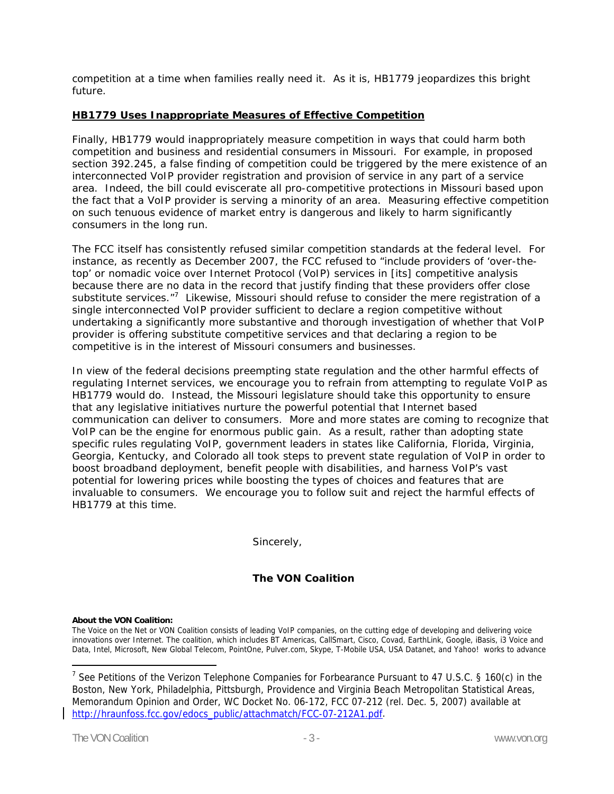competition at a time when families really need it. As it is, HB1779 jeopardizes this bright future.

## **HB1779 Uses Inappropriate Measures of Effective Competition**

Finally, HB1779 would inappropriately measure competition in ways that could harm both competition and business and residential consumers in Missouri. For example, in proposed section 392.245, a false finding of competition could be triggered by the mere existence of an interconnected VoIP provider registration and provision of service in any part of a service area. Indeed, the bill could eviscerate all pro-competitive protections in Missouri based upon the fact that a VoIP provider is serving a minority of an area. Measuring effective competition on such tenuous evidence of market entry is dangerous and likely to harm significantly consumers in the long run.

The FCC itself has consistently refused similar competition standards at the federal level. For instance, as recently as December 2007, the FCC refused to "include providers of 'over-thetop' or nomadic voice over Internet Protocol (VoIP) services in [its] competitive analysis because there are no data in the record that justify finding that these providers offer close substitute services."<sup>7</sup> Likewise, Missouri should refuse to consider the mere registration of a single interconnected VoIP provider sufficient to declare a region competitive without undertaking a significantly more substantive and thorough investigation of whether that VoIP provider is offering substitute competitive services and that declaring a region to be competitive is in the interest of Missouri consumers and businesses.

In view of the federal decisions preempting state regulation and the other harmful effects of regulating Internet services, we encourage you to refrain from attempting to regulate VoIP as HB1779 would do. Instead, the Missouri legislature should take this opportunity to ensure that any legislative initiatives nurture the powerful potential that Internet based communication can deliver to consumers. More and more states are coming to recognize that VoIP can be the engine for enormous public gain. As a result, rather than adopting state specific rules regulating VoIP, government leaders in states like California, Florida, Virginia, Georgia, Kentucky, and Colorado all took steps to prevent state regulation of VoIP in order to boost broadband deployment, benefit people with disabilities, and harness VoIP's vast potential for lowering prices while boosting the types of choices and features that are invaluable to consumers. We encourage you to follow suit and reject the harmful effects of HB1779 at this time.

Sincerely,

## **The VON Coalition**

## **About the VON Coalition:**

The Voice on the Net or VON Coalition consists of leading VoIP companies, on the cutting edge of developing and delivering voice innovations over Internet. The coalition, which includes BT Americas, CallSmart, Cisco, Covad, EarthLink, Google, iBasis, i3 Voice and Data, Intel, Microsoft, New Global Telecom, PointOne, Pulver.com, Skype, T-Mobile USA, USA Datanet, and Yahoo! works to advance

 $\overline{a}$ 

<sup>&</sup>lt;sup>7</sup> See Petitions of the Verizon Telephone Companies for Forbearance Pursuant to 47 U.S.C. § 160(c) in the Boston, New York, Philadelphia, Pittsburgh, Providence and Virginia Beach Metropolitan Statistical Areas, Memorandum Opinion and Order, WC Docket No. 06-172, FCC 07-212 (rel. Dec. 5, 2007) available at http://hraunfoss.fcc.gov/edocs\_public/attachmatch/FCC-07-212A1.pdf.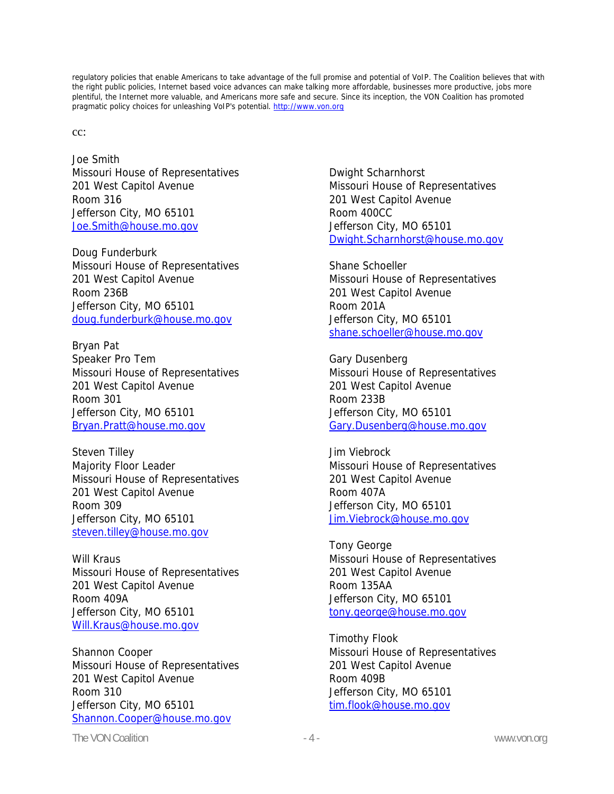regulatory policies that enable Americans to take advantage of the full promise and potential of VoIP. The Coalition believes that with the right public policies, Internet based voice advances can make talking more affordable, businesses more productive, jobs more plentiful, the Internet more valuable, and Americans more safe and secure. Since its inception, the VON Coalition has promoted pragmatic policy choices for unleashing VoIP's potential. http://www.von.org

cc:

Joe Smith Missouri House of Representatives 201 West Capitol Avenue Room 316 Jefferson City, MO 65101 Joe.Smith@house.mo.gov

Doug Funderburk Missouri House of Representatives 201 West Capitol Avenue Room 236B Jefferson City, MO 65101 doug.funderburk@house.mo.gov

Bryan Pat Speaker Pro Tem Missouri House of Representatives 201 West Capitol Avenue Room 301 Jefferson City, MO 65101 Bryan.Pratt@house.mo.gov

Steven Tilley Majority Floor Leader Missouri House of Representatives 201 West Capitol Avenue Room 309 Jefferson City, MO 65101 steven.tilley@house.mo.gov

Will Kraus Missouri House of Representatives 201 West Capitol Avenue Room 409A Jefferson City, MO 65101 Will.Kraus@house.mo.gov

Shannon Cooper Missouri House of Representatives 201 West Capitol Avenue Room 310 Jefferson City, MO 65101 Shannon.Cooper@house.mo.gov

Dwight Scharnhorst Missouri House of Representatives 201 West Capitol Avenue Room 400CC Jefferson City, MO 65101 Dwight.Scharnhorst@house.mo.gov

Shane Schoeller Missouri House of Representatives 201 West Capitol Avenue Room 201A Jefferson City, MO 65101 shane.schoeller@house.mo.gov

Gary Dusenberg Missouri House of Representatives 201 West Capitol Avenue Room 233B Jefferson City, MO 65101 Gary.Dusenberg@house.mo.gov

Jim Viebrock Missouri House of Representatives 201 West Capitol Avenue Room 407A Jefferson City, MO 65101 Jim.Viebrock@house.mo.gov

Tony George Missouri House of Representatives 201 West Capitol Avenue Room 135AA Jefferson City, MO 65101 tony.george@house.mo.gov

Timothy Flook Missouri House of Representatives 201 West Capitol Avenue Room 409B Jefferson City, MO 65101 tim.flook@house.mo.gov

The VON Coalition **The VON Coalition**  $-4$  -